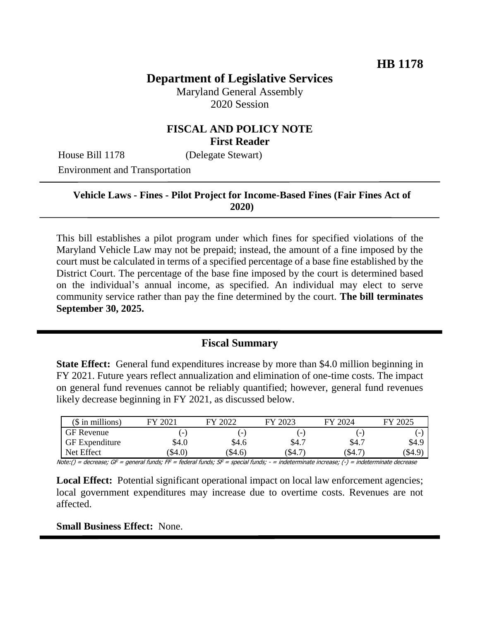# **Department of Legislative Services**

Maryland General Assembly 2020 Session

## **FISCAL AND POLICY NOTE First Reader**

House Bill 1178 (Delegate Stewart)

Environment and Transportation

## **Vehicle Laws - Fines - Pilot Project for Income-Based Fines (Fair Fines Act of 2020)**

This bill establishes a pilot program under which fines for specified violations of the Maryland Vehicle Law may not be prepaid; instead, the amount of a fine imposed by the court must be calculated in terms of a specified percentage of a base fine established by the District Court. The percentage of the base fine imposed by the court is determined based on the individual's annual income, as specified. An individual may elect to serve community service rather than pay the fine determined by the court. **The bill terminates September 30, 2025.** 

## **Fiscal Summary**

**State Effect:** General fund expenditures increase by more than \$4.0 million beginning in FY 2021. Future years reflect annualization and elimination of one-time costs. The impact on general fund revenues cannot be reliably quantified; however, general fund revenues likely decrease beginning in FY 2021, as discussed below.

| $($$ in millions)     | 2021<br><b>FY</b>        | 2022<br>FУ               | FY 2023 | FY 2024 | FY 2025 |
|-----------------------|--------------------------|--------------------------|---------|---------|---------|
| GF Revenue            | $\overline{\phantom{a}}$ | $\overline{\phantom{a}}$ |         |         |         |
| <b>GF</b> Expenditure | \$4.0                    | \$4.6                    | \$4.7   | \$4.7   | \$4.9   |
| Net Effect            | \$4.0                    | $\$4.6)$                 | (\$4.7  | (\$4.7  | (\$4.9  |

Note:() = decrease; GF = general funds; FF = federal funds; SF = special funds; - = indeterminate increase; (-) = indeterminate decrease

**Local Effect:** Potential significant operational impact on local law enforcement agencies; local government expenditures may increase due to overtime costs. Revenues are not affected.

#### **Small Business Effect:** None.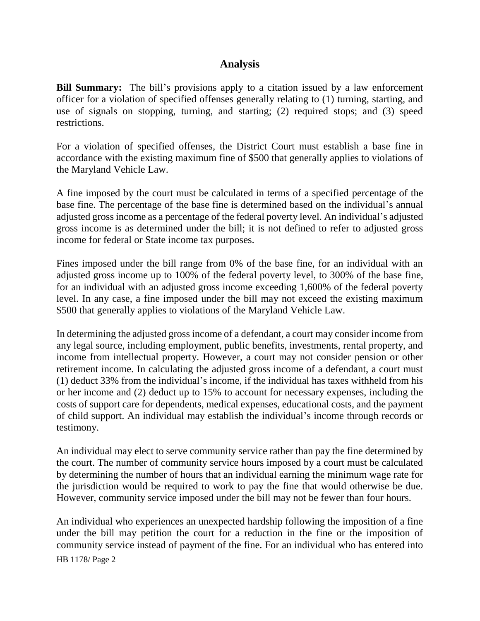## **Analysis**

**Bill Summary:** The bill's provisions apply to a citation issued by a law enforcement officer for a violation of specified offenses generally relating to (1) turning, starting, and use of signals on stopping, turning, and starting; (2) required stops; and (3) speed restrictions.

For a violation of specified offenses, the District Court must establish a base fine in accordance with the existing maximum fine of \$500 that generally applies to violations of the Maryland Vehicle Law.

A fine imposed by the court must be calculated in terms of a specified percentage of the base fine. The percentage of the base fine is determined based on the individual's annual adjusted gross income as a percentage of the federal poverty level. An individual's adjusted gross income is as determined under the bill; it is not defined to refer to adjusted gross income for federal or State income tax purposes.

Fines imposed under the bill range from 0% of the base fine, for an individual with an adjusted gross income up to 100% of the federal poverty level, to 300% of the base fine, for an individual with an adjusted gross income exceeding 1,600% of the federal poverty level. In any case, a fine imposed under the bill may not exceed the existing maximum \$500 that generally applies to violations of the Maryland Vehicle Law.

In determining the adjusted gross income of a defendant, a court may consider income from any legal source, including employment, public benefits, investments, rental property, and income from intellectual property. However, a court may not consider pension or other retirement income. In calculating the adjusted gross income of a defendant, a court must (1) deduct 33% from the individual's income, if the individual has taxes withheld from his or her income and (2) deduct up to 15% to account for necessary expenses, including the costs of support care for dependents, medical expenses, educational costs, and the payment of child support. An individual may establish the individual's income through records or testimony.

An individual may elect to serve community service rather than pay the fine determined by the court. The number of community service hours imposed by a court must be calculated by determining the number of hours that an individual earning the minimum wage rate for the jurisdiction would be required to work to pay the fine that would otherwise be due. However, community service imposed under the bill may not be fewer than four hours.

An individual who experiences an unexpected hardship following the imposition of a fine under the bill may petition the court for a reduction in the fine or the imposition of community service instead of payment of the fine. For an individual who has entered into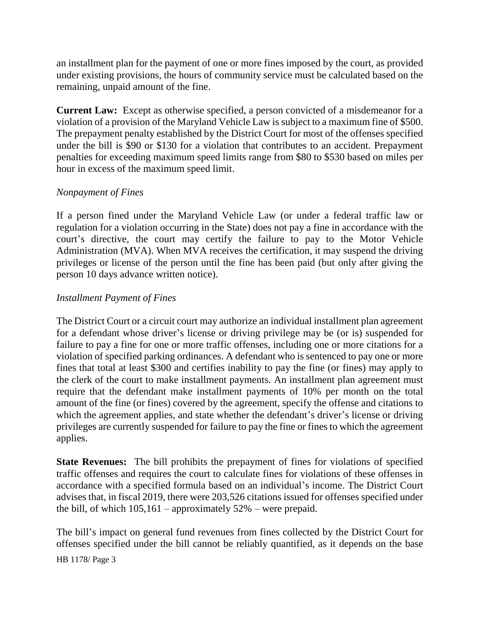an installment plan for the payment of one or more fines imposed by the court, as provided under existing provisions, the hours of community service must be calculated based on the remaining, unpaid amount of the fine.

**Current Law:** Except as otherwise specified, a person convicted of a misdemeanor for a violation of a provision of the Maryland Vehicle Law is subject to a maximum fine of \$500. The prepayment penalty established by the District Court for most of the offenses specified under the bill is \$90 or \$130 for a violation that contributes to an accident. Prepayment penalties for exceeding maximum speed limits range from \$80 to \$530 based on miles per hour in excess of the maximum speed limit.

## *Nonpayment of Fines*

If a person fined under the Maryland Vehicle Law (or under a federal traffic law or regulation for a violation occurring in the State) does not pay a fine in accordance with the court's directive, the court may certify the failure to pay to the Motor Vehicle Administration (MVA). When MVA receives the certification, it may suspend the driving privileges or license of the person until the fine has been paid (but only after giving the person 10 days advance written notice).

### *Installment Payment of Fines*

The District Court or a circuit court may authorize an individual installment plan agreement for a defendant whose driver's license or driving privilege may be (or is) suspended for failure to pay a fine for one or more traffic offenses, including one or more citations for a violation of specified parking ordinances. A defendant who is sentenced to pay one or more fines that total at least \$300 and certifies inability to pay the fine (or fines) may apply to the clerk of the court to make installment payments. An installment plan agreement must require that the defendant make installment payments of 10% per month on the total amount of the fine (or fines) covered by the agreement, specify the offense and citations to which the agreement applies, and state whether the defendant's driver's license or driving privileges are currently suspended for failure to pay the fine or fines to which the agreement applies.

**State Revenues:** The bill prohibits the prepayment of fines for violations of specified traffic offenses and requires the court to calculate fines for violations of these offenses in accordance with a specified formula based on an individual's income. The District Court advises that, in fiscal 2019, there were 203,526 citations issued for offenses specified under the bill, of which  $105,161$  – approximately  $52\%$  – were prepaid.

The bill's impact on general fund revenues from fines collected by the District Court for offenses specified under the bill cannot be reliably quantified, as it depends on the base

HB 1178/ Page 3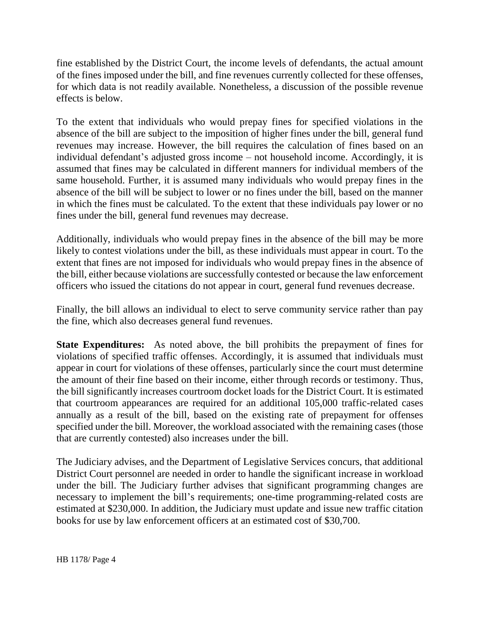fine established by the District Court, the income levels of defendants, the actual amount of the fines imposed under the bill, and fine revenues currently collected for these offenses, for which data is not readily available. Nonetheless, a discussion of the possible revenue effects is below.

To the extent that individuals who would prepay fines for specified violations in the absence of the bill are subject to the imposition of higher fines under the bill, general fund revenues may increase. However, the bill requires the calculation of fines based on an individual defendant's adjusted gross income – not household income. Accordingly, it is assumed that fines may be calculated in different manners for individual members of the same household. Further, it is assumed many individuals who would prepay fines in the absence of the bill will be subject to lower or no fines under the bill, based on the manner in which the fines must be calculated. To the extent that these individuals pay lower or no fines under the bill, general fund revenues may decrease.

Additionally, individuals who would prepay fines in the absence of the bill may be more likely to contest violations under the bill, as these individuals must appear in court. To the extent that fines are not imposed for individuals who would prepay fines in the absence of the bill, either because violations are successfully contested or because the law enforcement officers who issued the citations do not appear in court, general fund revenues decrease.

Finally, the bill allows an individual to elect to serve community service rather than pay the fine, which also decreases general fund revenues.

**State Expenditures:** As noted above, the bill prohibits the prepayment of fines for violations of specified traffic offenses. Accordingly, it is assumed that individuals must appear in court for violations of these offenses, particularly since the court must determine the amount of their fine based on their income, either through records or testimony. Thus, the bill significantly increases courtroom docket loads for the District Court. It is estimated that courtroom appearances are required for an additional 105,000 traffic-related cases annually as a result of the bill, based on the existing rate of prepayment for offenses specified under the bill. Moreover, the workload associated with the remaining cases (those that are currently contested) also increases under the bill.

The Judiciary advises, and the Department of Legislative Services concurs, that additional District Court personnel are needed in order to handle the significant increase in workload under the bill. The Judiciary further advises that significant programming changes are necessary to implement the bill's requirements; one-time programming-related costs are estimated at \$230,000. In addition, the Judiciary must update and issue new traffic citation books for use by law enforcement officers at an estimated cost of \$30,700.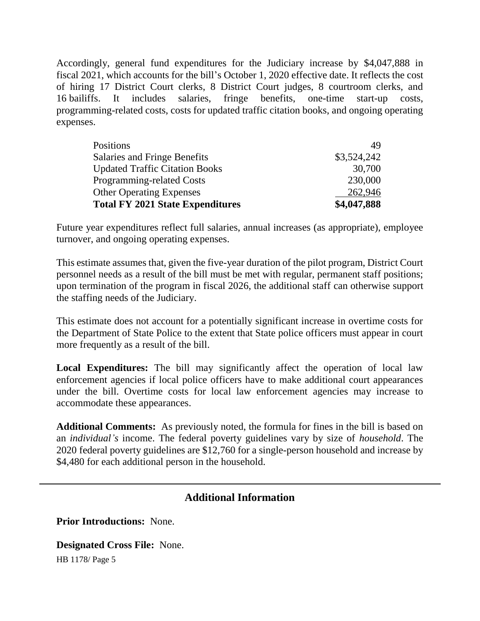Accordingly, general fund expenditures for the Judiciary increase by \$4,047,888 in fiscal 2021, which accounts for the bill's October 1, 2020 effective date. It reflects the cost of hiring 17 District Court clerks, 8 District Court judges, 8 courtroom clerks, and 16 bailiffs. It includes salaries, fringe benefits, one-time start-up costs, programming-related costs, costs for updated traffic citation books, and ongoing operating expenses.

| <b>Total FY 2021 State Expenditures</b> | \$4,047,888 |
|-----------------------------------------|-------------|
| <b>Other Operating Expenses</b>         | 262,946     |
| Programming-related Costs               | 230,000     |
| <b>Updated Traffic Citation Books</b>   | 30,700      |
| Salaries and Fringe Benefits            | \$3,524,242 |
| <b>Positions</b>                        | 49          |

Future year expenditures reflect full salaries, annual increases (as appropriate), employee turnover, and ongoing operating expenses.

This estimate assumes that, given the five-year duration of the pilot program, District Court personnel needs as a result of the bill must be met with regular, permanent staff positions; upon termination of the program in fiscal 2026, the additional staff can otherwise support the staffing needs of the Judiciary.

This estimate does not account for a potentially significant increase in overtime costs for the Department of State Police to the extent that State police officers must appear in court more frequently as a result of the bill.

Local Expenditures: The bill may significantly affect the operation of local law enforcement agencies if local police officers have to make additional court appearances under the bill. Overtime costs for local law enforcement agencies may increase to accommodate these appearances.

**Additional Comments:** As previously noted, the formula for fines in the bill is based on an *individual's* income. The federal poverty guidelines vary by size of *household*. The 2020 federal poverty guidelines are \$12,760 for a single-person household and increase by \$4,480 for each additional person in the household.

## **Additional Information**

**Prior Introductions:** None.

**Designated Cross File:** None.

HB 1178/ Page 5